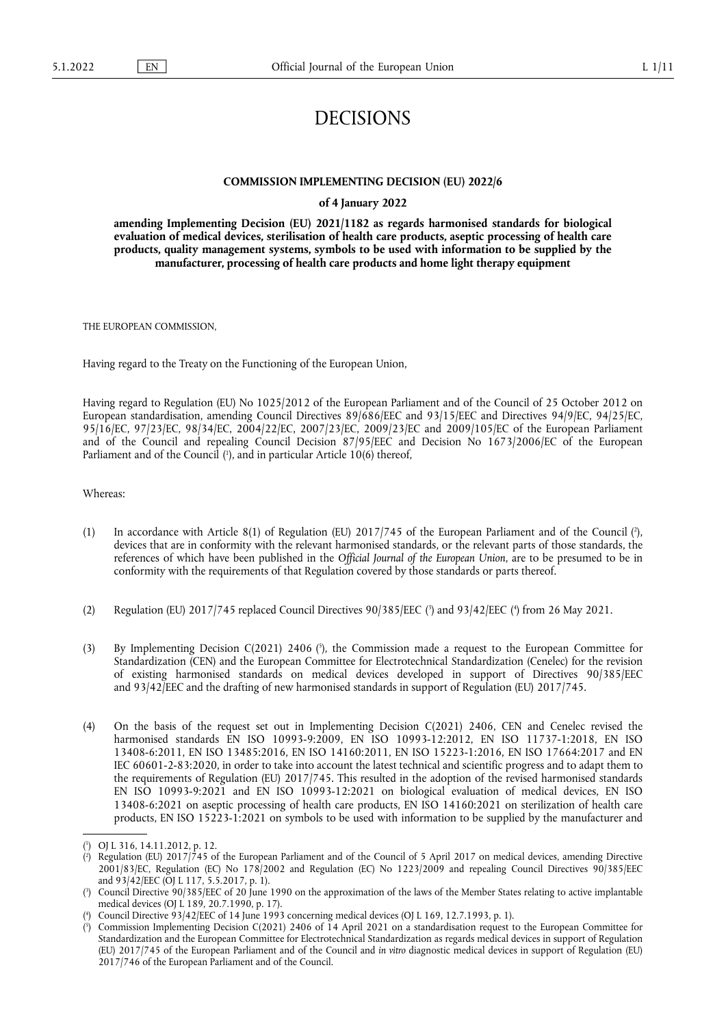## DECISIONS

## **COMMISSION IMPLEMENTING DECISION (EU) 2022/6**

## **of 4 January 2022**

**amending Implementing Decision (EU) 2021/1182 as regards harmonised standards for biological evaluation of medical devices, sterilisation of health care products, aseptic processing of health care products, quality management systems, symbols to be used with information to be supplied by the manufacturer, processing of health care products and home light therapy equipment** 

THE EUROPEAN COMMISSION,

Having regard to the Treaty on the Functioning of the European Union,

Having regard to Regulation (EU) No 1025/2012 of the European Parliament and of the Council of 25 October 2012 on European standardisation, amending Council Directives 89/686/EEC and 93/15/EEC and Directives 94/9/EC, 94/25/EC, 95/16/EC, 97/23/EC, 98/34/EC, 2004/22/EC, 2007/23/EC, 2009/23/EC and 2009/105/EC of the European Parliament and of the Council and repealing Council Decision 87/95/EEC and Decision No 1673/2006/EC of the European Parliament and of the Council [\(](#page-0-0)'), and in particular Article 10(6) thereof,

<span id="page-0-5"></span>Whereas:

- <span id="page-0-6"></span>[\(](#page-0-1)1) In accordance with Article 8(1) of Regulation (EU)  $2017/745$  of the European Parliament and of the Council (?), devices that are in conformity with the relevant harmonised standards, or the relevant parts of those standards, the references of which have been published in the *Official Journal of the European Union*, are to be presumed to be in conformity with the requirements of that Regulation covered by those standards or parts thereof.
- <span id="page-0-7"></span>[\(](#page-0-3)2) Regulation (EU) 2017/745 replaced Council Directives 90/385/EEC (3) and 93/42/EEC (4) from 26 May 2021.
- <span id="page-0-8"></span>(3) By Implementing Decision C(2021) 2406 (<sup>5</sup>[\),](#page-0-4) the Commission made a request to the European Committee for Standardization (CEN) and the European Committee for Electrotechnical Standardization (Cenelec) for the revision of existing harmonised standards on medical devices developed in support of Directives 90/385/EEC and 93/42/EEC and the drafting of new harmonised standards in support of Regulation (EU) 2017/745.
- (4) On the basis of the request set out in Implementing Decision C(2021) 2406, CEN and Cenelec revised the harmonised standards EN ISO 10993-9:2009, EN ISO 10993-12:2012, EN ISO 11737-1:2018, EN ISO 13408-6:2011, EN ISO 13485:2016, EN ISO 14160:2011, EN ISO 15223-1:2016, EN ISO 17664:2017 and EN IEC 60601-2-83:2020, in order to take into account the latest technical and scientific progress and to adapt them to the requirements of Regulation (EU) 2017/745. This resulted in the adoption of the revised harmonised standards EN ISO 10993-9:2021 and EN ISO 10993-12:2021 on biological evaluation of medical devices, EN ISO 13408-6:2021 on aseptic processing of health care products, EN ISO 14160:2021 on sterilization of health care products, EN ISO 15223-1:2021 on symbols to be used with information to be supplied by the manufacturer and

<span id="page-0-0"></span>[<sup>\(</sup>](#page-0-5) 1 ) OJ L 316, 14.11.2012, p. 12.

<span id="page-0-1"></span>[<sup>\(</sup>](#page-0-6) 2 ) Regulation (EU) 2017/745 of the European Parliament and of the Council of 5 April 2017 on medical devices, amending Directive 2001/83/EC, Regulation (EC) No 178/2002 and Regulation (EC) No 1223/2009 and repealing Council Directives 90/385/EEC and 93/42/EEC (OJ L 117, 5.5.2017, p. 1).

<span id="page-0-2"></span>[<sup>\(</sup>](#page-0-7) 3 ) Council Directive 90/385/EEC of 20 June 1990 on the approximation of the laws of the Member States relating to active implantable medical devices (OJ L 189, 20.7.1990, p. 17).

<span id="page-0-3"></span>[<sup>\(</sup>](#page-0-7) 4 ) Council Directive 93/42/EEC of 14 June 1993 concerning medical devices (OJ L 169, 12.7.1993, p. 1).

<span id="page-0-4"></span>[<sup>\(</sup>](#page-0-8) 5 ) Commission Implementing Decision C(2021) 2406 of 14 April 2021 on a standardisation request to the European Committee for Standardization and the European Committee for Electrotechnical Standardization as regards medical devices in support of Regulation (EU) 2017/745 of the European Parliament and of the Council and *in vitro* diagnostic medical devices in support of Regulation (EU) 2017/746 of the European Parliament and of the Council.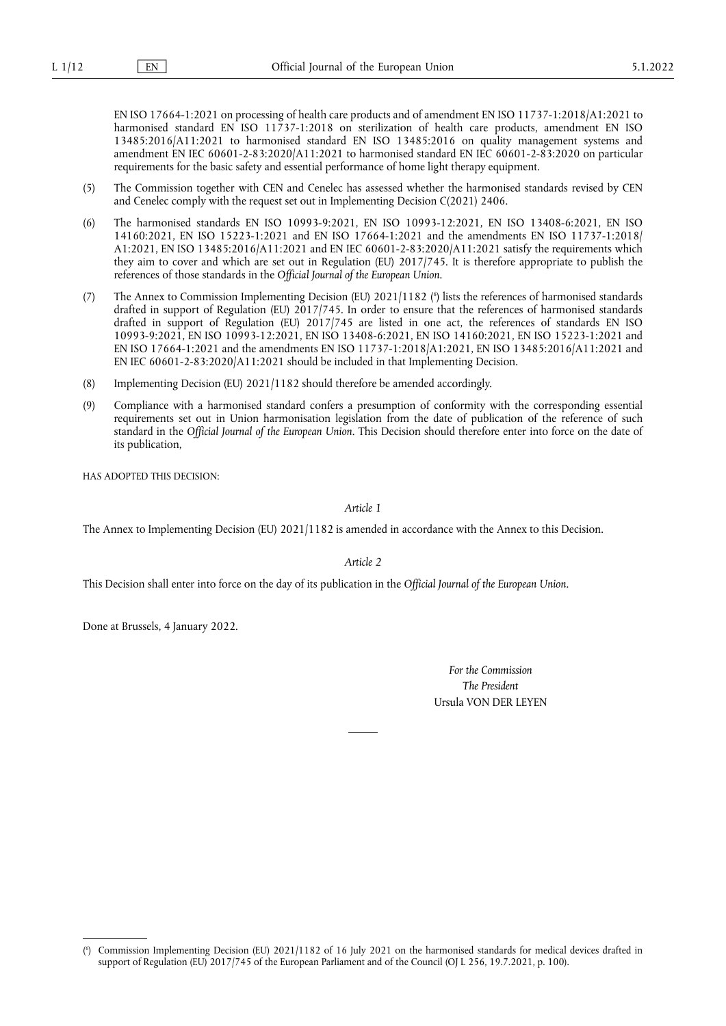EN ISO 17664-1:2021 on processing of health care products and of amendment EN ISO 11737-1:2018/A1:2021 to harmonised standard EN ISO 11737-1:2018 on sterilization of health care products, amendment EN ISO 13485:2016/A11:2021 to harmonised standard EN ISO 13485:2016 on quality management systems and amendment EN IEC 60601-2-83:2020/A11:2021 to harmonised standard EN IEC 60601-2-83:2020 on particular requirements for the basic safety and essential performance of home light therapy equipment.

- (5) The Commission together with CEN and Cenelec has assessed whether the harmonised standards revised by CEN and Cenelec comply with the request set out in Implementing Decision C(2021) 2406.
- (6) The harmonised standards EN ISO 10993-9:2021, EN ISO 10993-12:2021, EN ISO 13408-6:2021, EN ISO 14160:2021, EN ISO 15223-1:2021 and EN ISO 17664-1:2021 and the amendments EN ISO 11737-1:2018/ A1:2021, EN ISO 13485:2016/A11:2021 and EN IEC 60601-2-83:2020/A11:2021 satisfy the requirements which they aim to cover and which are set out in Regulation (EU) 2017/745. It is therefore appropriate to publish the references of those standards in the *Official Journal of the European Union*.
- <span id="page-1-1"></span>(7) The Annex to Commission Implementing Decision (EU) 2021/1182 [\(](#page-1-0) 6 ) lists the references of harmonised standards drafted in support of Regulation (EU) 2017/745. In order to ensure that the references of harmonised standards drafted in support of Regulation (EU) 2017/745 are listed in one act, the references of standards EN ISO 10993-9:2021, EN ISO 10993-12:2021, EN ISO 13408-6:2021, EN ISO 14160:2021, EN ISO 15223-1:2021 and EN ISO 17664-1:2021 and the amendments EN ISO 11737-1:2018/A1:2021, EN ISO 13485:2016/A11:2021 and EN IEC 60601-2-83:2020/A11:2021 should be included in that Implementing Decision.
- (8) Implementing Decision (EU) 2021/1182 should therefore be amended accordingly.
- (9) Compliance with a harmonised standard confers a presumption of conformity with the corresponding essential requirements set out in Union harmonisation legislation from the date of publication of the reference of such standard in the *Official Journal of the European Union*. This Decision should therefore enter into force on the date of its publication,

HAS ADOPTED THIS DECISION:

*Article 1*

The Annex to Implementing Decision (EU) 2021/1182 is amended in accordance with the Annex to this Decision.

*Article 2*

This Decision shall enter into force on the day of its publication in the *Official Journal of the European Union*.

Done at Brussels, 4 January 2022.

*For the Commission The President* Ursula VON DER LEYEN

<span id="page-1-0"></span>[<sup>\(</sup>](#page-1-1) 6 ) Commission Implementing Decision (EU) 2021/1182 of 16 July 2021 on the harmonised standards for medical devices drafted in support of Regulation (EU) 2017/745 of the European Parliament and of the Council (OJ L 256, 19.7.2021, p. 100).